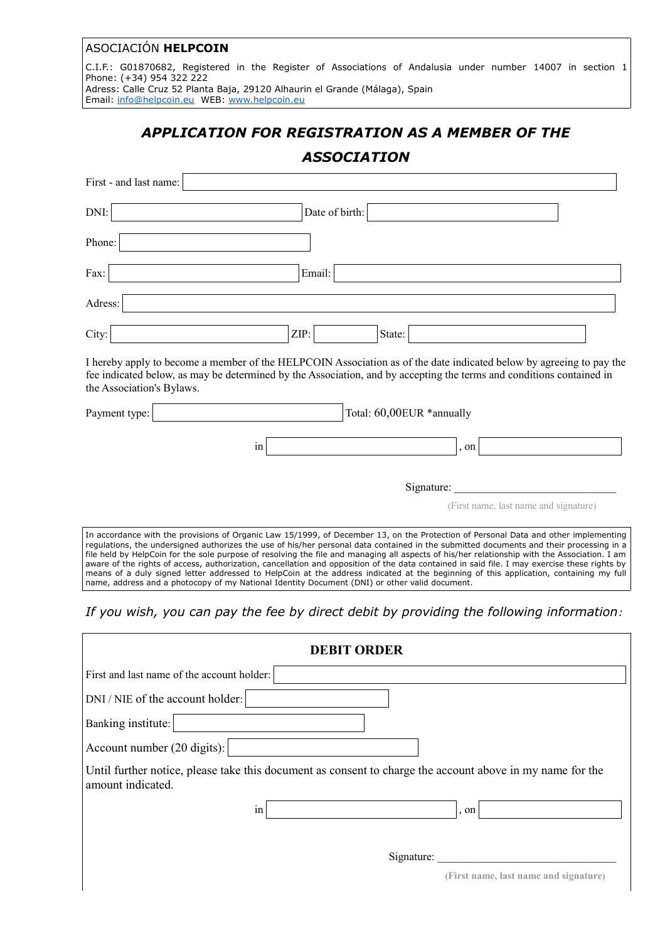# ASOCIACIÓN **HELPCOIN**

C.I.F.: G01870682, Registered in the Register of Associations of Andalusia under number 14007 in section 1 Phone: (+34) 954 322 222

Adress: Calle Cruz 52 Planta Baja, 29120 Alhaurin el Grande (Málaga), Spain Email: [info@helpcoin.eu](mailto:info@helpcoin.eu) WEB: [www.helpcoin.eu](http://www.helpcoin.eu/)

# *APPLICATION FOR REGISTRATION AS A MEMBER OF THE*

# *ASSOCIATION*

| First - and last name:                                                                                                                                                                                                                                                                                                                                                                                                                                                                                                                                                         |                |        |                           |      |                                       |
|--------------------------------------------------------------------------------------------------------------------------------------------------------------------------------------------------------------------------------------------------------------------------------------------------------------------------------------------------------------------------------------------------------------------------------------------------------------------------------------------------------------------------------------------------------------------------------|----------------|--------|---------------------------|------|---------------------------------------|
| DNI:                                                                                                                                                                                                                                                                                                                                                                                                                                                                                                                                                                           | Date of birth: |        |                           |      |                                       |
| Phone:                                                                                                                                                                                                                                                                                                                                                                                                                                                                                                                                                                         |                |        |                           |      |                                       |
| Fax:                                                                                                                                                                                                                                                                                                                                                                                                                                                                                                                                                                           |                | Email: |                           |      |                                       |
| Adress:                                                                                                                                                                                                                                                                                                                                                                                                                                                                                                                                                                        |                |        |                           |      |                                       |
| City:                                                                                                                                                                                                                                                                                                                                                                                                                                                                                                                                                                          | ZIP:           |        | State:                    |      |                                       |
| I hereby apply to become a member of the HELPCOIN Association as of the date indicated below by agreeing to pay the<br>fee indicated below, as may be determined by the Association, and by accepting the terms and conditions contained in<br>the Association's Bylaws.                                                                                                                                                                                                                                                                                                       |                |        |                           |      |                                       |
| Payment type:                                                                                                                                                                                                                                                                                                                                                                                                                                                                                                                                                                  |                |        | Total: 60,00EUR *annually |      |                                       |
|                                                                                                                                                                                                                                                                                                                                                                                                                                                                                                                                                                                | 1n             |        |                           | , on |                                       |
|                                                                                                                                                                                                                                                                                                                                                                                                                                                                                                                                                                                |                |        | Signature:                |      |                                       |
|                                                                                                                                                                                                                                                                                                                                                                                                                                                                                                                                                                                |                |        |                           |      | (First name, last name and signature) |
| In accordance with the provisions of Organic Law 15/1999, of December 13, on the Protection of Personal Data and other implementing<br>regulations, the undersigned authorizes the use of his/her personal data contained in the submitted documents and their processing in a<br>file held by HelpCoin for the sole purpose of resolving the file and managing all aspects of his/her relationship with the Association. I am<br>aware of the rights of access, authorization, cancellation and opposition of the data contained in said file. I may exercise these rights by |                |        |                           |      |                                       |

*If you wish, you can pay the fee by direct debit by providing the following information:*

means of a duly signed letter addressed to HelpCoin at the address indicated at the beginning of this application, containing my full

name, address and a photocopy of my National Identity Document (DNI) or other valid document.

| <b>DEBIT ORDER</b>                                                                                                             |                                       |  |  |  |  |  |
|--------------------------------------------------------------------------------------------------------------------------------|---------------------------------------|--|--|--|--|--|
| First and last name of the account holder:                                                                                     |                                       |  |  |  |  |  |
| DNI / NIE of the account holder:                                                                                               |                                       |  |  |  |  |  |
| Banking institute:                                                                                                             |                                       |  |  |  |  |  |
| Account number (20 digits):                                                                                                    |                                       |  |  |  |  |  |
| Until further notice, please take this document as consent to charge the account above in my name for the<br>amount indicated. |                                       |  |  |  |  |  |
| $\bullet$<br>1n                                                                                                                | , on                                  |  |  |  |  |  |
|                                                                                                                                |                                       |  |  |  |  |  |
| Signature:                                                                                                                     |                                       |  |  |  |  |  |
|                                                                                                                                | (First name, last name and signature) |  |  |  |  |  |